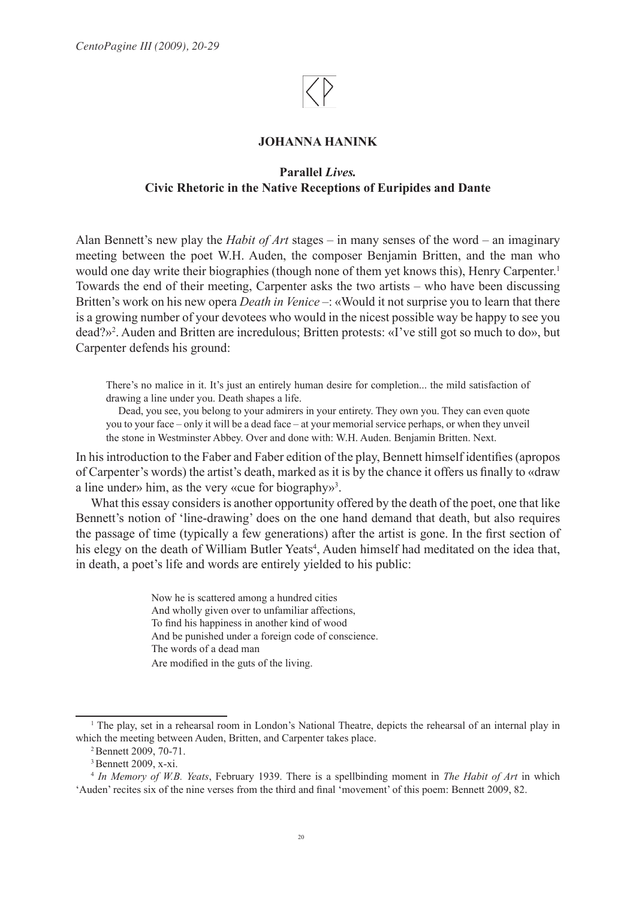## **JOHANNA HANINK**

# **Parallel** *Lives.* **Civic Rhetoric in the Native Receptions of Euripides and Dante**

Alan Bennett's new play the *Habit of Art* stages – in many senses of the word – an imaginary meeting between the poet W.H. Auden, the composer Benjamin Britten, and the man who would one day write their biographies (though none of them yet knows this), Henry Carpenter.<sup>1</sup> Towards the end of their meeting, Carpenter asks the two artists – who have been discussing Britten's work on his new opera *Death in Venice* –: «Would it not surprise you to learn that there is a growing number of your devotees who would in the nicest possible way be happy to see you dead?»2 . Auden and Britten are incredulous; Britten protests: «I've still got so much to do», but Carpenter defends his ground:

There's no malice in it. It's just an entirely human desire for completion... the mild satisfaction of drawing a line under you. Death shapes a life.

 Dead, you see, you belong to your admirers in your entirety. They own you. They can even quote you to your face – only it will be a dead face – at your memorial service perhaps, or when they unveil the stone in Westminster Abbey. Over and done with: W.H. Auden. Benjamin Britten. Next.

In his introduction to the Faber and Faber edition of the play, Bennett himself identifies (apropos of Carpenter's words) the artist's death, marked as it is by the chance it offers us finally to «draw a line under» him, as the very «cue for biography»<sup>3</sup>.

What this essay considers is another opportunity offered by the death of the poet, one that like Bennett's notion of 'line-drawing' does on the one hand demand that death, but also requires the passage of time (typically a few generations) after the artist is gone. In the first section of his elegy on the death of William Butler Yeats<sup>4</sup>, Auden himself had meditated on the idea that, in death, a poet's life and words are entirely yielded to his public:

> Now he is scattered among a hundred cities And wholly given over to unfamiliar affections, To find his happiness in another kind of wood And be punished under a foreign code of conscience. The words of a dead man Are modified in the guts of the living.

<sup>1</sup> The play, set in a rehearsal room in London's National Theatre, depicts the rehearsal of an internal play in which the meeting between Auden, Britten, and Carpenter takes place.<br><sup>2</sup> Bennett 2009, 70-71.

<sup>3</sup> Bennett 2009, x-xi.

<sup>4</sup>  *In Memory of W.B. Yeats*, February 1939. There is a spellbinding moment in *The Habit of Art* in which 'Auden' recites six of the nine verses from the third and final 'movement' of this poem: Bennett 2009, 82.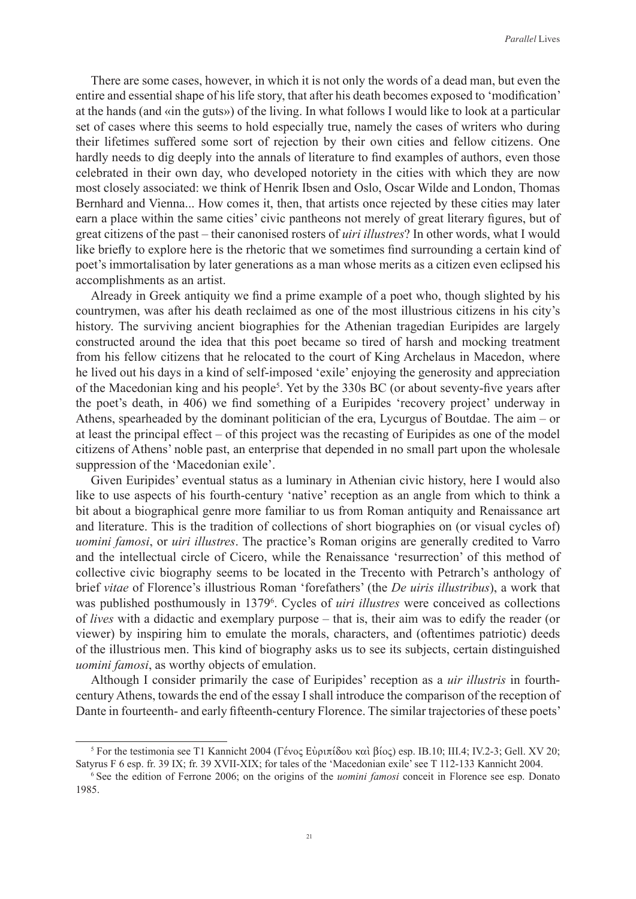There are some cases, however, in which it is not only the words of a dead man, but even the entire and essential shape of his life story, that after his death becomes exposed to 'modification' at the hands (and «in the guts») of the living. In what follows I would like to look at a particular set of cases where this seems to hold especially true, namely the cases of writers who during their lifetimes suffered some sort of rejection by their own cities and fellow citizens. One hardly needs to dig deeply into the annals of literature to find examples of authors, even those celebrated in their own day, who developed notoriety in the cities with which they are now most closely associated: we think of Henrik Ibsen and Oslo, Oscar Wilde and London, Thomas Bernhard and Vienna... How comes it, then, that artists once rejected by these cities may later earn a place within the same cities' civic pantheons not merely of great literary figures, but of great citizens of the past – their canonised rosters of *uiri illustres*? In other words, what I would like briefly to explore here is the rhetoric that we sometimes find surrounding a certain kind of poet's immortalisation by later generations as a man whose merits as a citizen even eclipsed his accomplishments as an artist.

Already in Greek antiquity we find a prime example of a poet who, though slighted by his countrymen, was after his death reclaimed as one of the most illustrious citizens in his city's history. The surviving ancient biographies for the Athenian tragedian Euripides are largely constructed around the idea that this poet became so tired of harsh and mocking treatment from his fellow citizens that he relocated to the court of King Archelaus in Macedon, where he lived out his days in a kind of self-imposed 'exile' enjoying the generosity and appreciation of the Macedonian king and his people<sup>5</sup>. Yet by the 330s BC (or about seventy-five years after the poet's death, in 406) we find something of a Euripides 'recovery project' underway in Athens, spearheaded by the dominant politician of the era, Lycurgus of Boutdae. The aim – or at least the principal effect – of this project was the recasting of Euripides as one of the model citizens of Athens' noble past, an enterprise that depended in no small part upon the wholesale suppression of the 'Macedonian exile'.

Given Euripides' eventual status as a luminary in Athenian civic history, here I would also like to use aspects of his fourth-century 'native' reception as an angle from which to think a bit about a biographical genre more familiar to us from Roman antiquity and Renaissance art and literature. This is the tradition of collections of short biographies on (or visual cycles of) *uomini famosi*, or *uiri illustres*. The practice's Roman origins are generally credited to Varro and the intellectual circle of Cicero, while the Renaissance 'resurrection' of this method of collective civic biography seems to be located in the Trecento with Petrarch's anthology of brief *vitae* of Florence's illustrious Roman 'forefathers' (the *De uiris illustribus*), a work that was published posthumously in 1379<sup>6</sup>. Cycles of *uiri illustres* were conceived as collections of *lives* with a didactic and exemplary purpose – that is, their aim was to edify the reader (or viewer) by inspiring him to emulate the morals, characters, and (oftentimes patriotic) deeds of the illustrious men. This kind of biography asks us to see its subjects, certain distinguished *uomini famosi*, as worthy objects of emulation.

Although I consider primarily the case of Euripides' reception as a *uir illustris* in fourthcentury Athens, towards the end of the essay I shall introduce the comparison of the reception of Dante in fourteenth- and early fifteenth-century Florence. The similar trajectories of these poets'

<sup>5</sup> For the testimonia see T1 Kannicht 2004 (Γένος Εὐριπίδου καὶ βίος) esp. IB.10; III.4; IV.2-3; Gell. XV 20; Satyrus F 6 esp. fr. 39 IX; fr. 39 XVII-XIX; for tales of the 'Macedonian exile' see T 112-133 Kannicht 2004.

<sup>6</sup> See the edition of Ferrone 2006; on the origins of the *uomini famosi* conceit in Florence see esp. Donato 1985.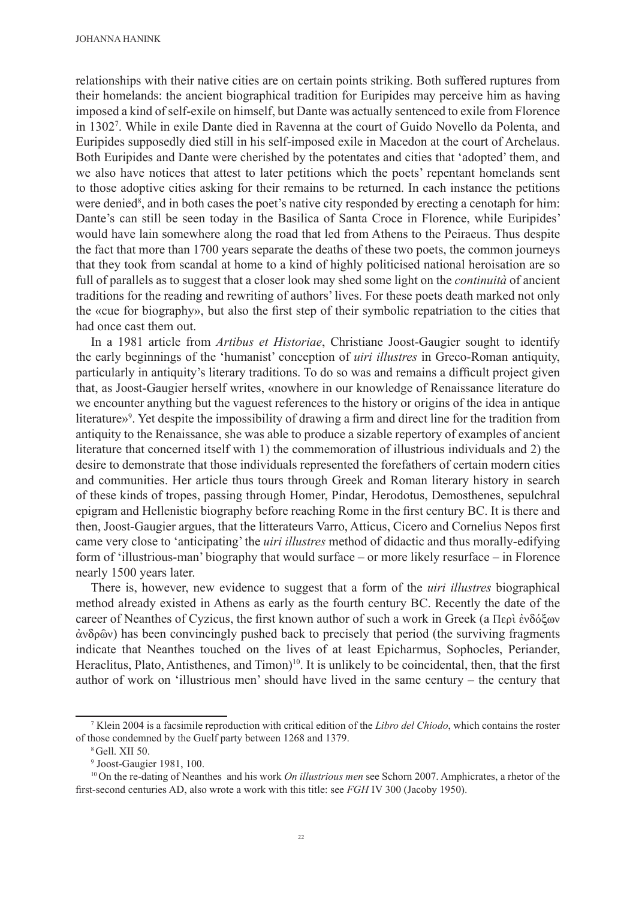relationships with their native cities are on certain points striking. Both suffered ruptures from their homelands: the ancient biographical tradition for Euripides may perceive him as having imposed a kind of self-exile on himself, but Dante was actually sentenced to exile from Florence in 13027 . While in exile Dante died in Ravenna at the court of Guido Novello da Polenta, and Euripides supposedly died still in his self-imposed exile in Macedon at the court of Archelaus. Both Euripides and Dante were cherished by the potentates and cities that 'adopted' them, and we also have notices that attest to later petitions which the poets' repentant homelands sent to those adoptive cities asking for their remains to be returned. In each instance the petitions were denied<sup>8</sup>, and in both cases the poet's native city responded by erecting a cenotaph for him: Dante's can still be seen today in the Basilica of Santa Croce in Florence, while Euripides' would have lain somewhere along the road that led from Athens to the Peiraeus. Thus despite the fact that more than 1700 years separate the deaths of these two poets, the common journeys that they took from scandal at home to a kind of highly politicised national heroisation are so full of parallels as to suggest that a closer look may shed some light on the *continuità* of ancient traditions for the reading and rewriting of authors' lives. For these poets death marked not only the «cue for biography», but also the first step of their symbolic repatriation to the cities that had once cast them out.

In a 1981 article from *Artibus et Historiae*, Christiane Joost-Gaugier sought to identify the early beginnings of the 'humanist' conception of *uiri illustres* in Greco-Roman antiquity, particularly in antiquity's literary traditions. To do so was and remains a difficult project given that, as Joost-Gaugier herself writes, «nowhere in our knowledge of Renaissance literature do we encounter anything but the vaguest references to the history or origins of the idea in antique literature»9 . Yet despite the impossibility of drawing a firm and direct line for the tradition from antiquity to the Renaissance, she was able to produce a sizable repertory of examples of ancient literature that concerned itself with 1) the commemoration of illustrious individuals and 2) the desire to demonstrate that those individuals represented the forefathers of certain modern cities and communities. Her article thus tours through Greek and Roman literary history in search of these kinds of tropes, passing through Homer, Pindar, Herodotus, Demosthenes, sepulchral epigram and Hellenistic biography before reaching Rome in the first century BC. It is there and then, Joost-Gaugier argues, that the litterateurs Varro, Atticus, Cicero and Cornelius Nepos first came very close to 'anticipating' the *uiri illustres* method of didactic and thus morally-edifying form of 'illustrious-man' biography that would surface – or more likely resurface – in Florence nearly 1500 years later.

There is, however, new evidence to suggest that a form of the *uiri illustres* biographical method already existed in Athens as early as the fourth century BC. Recently the date of the career of Neanthes of Cyzicus, the first known author of such a work in Greek (a Περὶ ἐνδόξων ἀνδρῶν) has been convincingly pushed back to precisely that period (the surviving fragments indicate that Neanthes touched on the lives of at least Epicharmus, Sophocles, Periander, Heraclitus, Plato, Antisthenes, and Timon)<sup>10</sup>. It is unlikely to be coincidental, then, that the first author of work on 'illustrious men' should have lived in the same century – the century that

<sup>7</sup> Klein 2004 is a facsimile reproduction with critical edition of the *Libro del Chiodo*, which contains the roster of those condemned by the Guelf party between 1268 and 1379.

<sup>8</sup>Gell. XII 50.

<sup>9</sup> Joost-Gaugier 1981, 100.

<sup>10</sup> On the re-dating of Neanthes and his work *On illustrious men* see Schorn 2007. Amphicrates, a rhetor of the first-second centuries AD, also wrote a work with this title: see *FGH* IV 300 (Jacoby 1950).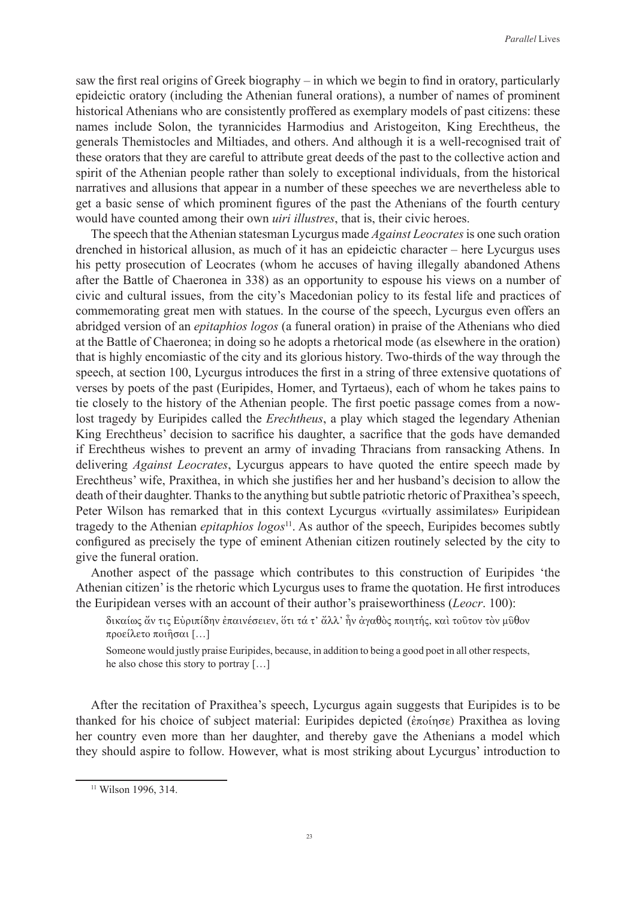saw the first real origins of Greek biography – in which we begin to find in oratory, particularly epideictic oratory (including the Athenian funeral orations), a number of names of prominent historical Athenians who are consistently proffered as exemplary models of past citizens: these names include Solon, the tyrannicides Harmodius and Aristogeiton, King Erechtheus, the generals Themistocles and Miltiades, and others. And although it is a well-recognised trait of these orators that they are careful to attribute great deeds of the past to the collective action and spirit of the Athenian people rather than solely to exceptional individuals, from the historical narratives and allusions that appear in a number of these speeches we are nevertheless able to get a basic sense of which prominent figures of the past the Athenians of the fourth century would have counted among their own *uiri illustres*, that is, their civic heroes.

The speech that the Athenian statesman Lycurgus made *Against Leocrates* is one such oration drenched in historical allusion, as much of it has an epideictic character – here Lycurgus uses his petty prosecution of Leocrates (whom he accuses of having illegally abandoned Athens after the Battle of Chaeronea in 338) as an opportunity to espouse his views on a number of civic and cultural issues, from the city's Macedonian policy to its festal life and practices of commemorating great men with statues. In the course of the speech, Lycurgus even offers an abridged version of an *epitaphios logos* (a funeral oration) in praise of the Athenians who died at the Battle of Chaeronea; in doing so he adopts a rhetorical mode (as elsewhere in the oration) that is highly encomiastic of the city and its glorious history. Two-thirds of the way through the speech, at section 100, Lycurgus introduces the first in a string of three extensive quotations of verses by poets of the past (Euripides, Homer, and Tyrtaeus), each of whom he takes pains to tie closely to the history of the Athenian people. The first poetic passage comes from a nowlost tragedy by Euripides called the *Erechtheus*, a play which staged the legendary Athenian King Erechtheus' decision to sacrifice his daughter, a sacrifice that the gods have demanded if Erechtheus wishes to prevent an army of invading Thracians from ransacking Athens. In delivering *Against Leocrates*, Lycurgus appears to have quoted the entire speech made by Erechtheus' wife, Praxithea, in which she justifies her and her husband's decision to allow the death of their daughter. Thanks to the anything but subtle patriotic rhetoric of Praxithea's speech, Peter Wilson has remarked that in this context Lycurgus «virtually assimilates» Euripidean tragedy to the Athenian *epitaphios logos*<sup>11</sup>. As author of the speech, Euripides becomes subtly configured as precisely the type of eminent Athenian citizen routinely selected by the city to give the funeral oration.

Another aspect of the passage which contributes to this construction of Euripides 'the Athenian citizen' is the rhetoric which Lycurgus uses to frame the quotation. He first introduces the Euripidean verses with an account of their author's praiseworthiness (*Leocr*. 100):

δικαίως ἄν τις Εὐριπίδην ἐπαινέσειεν, ὅτι τά τ' ἄλλ' ἦν ἀγαθὸς ποιητής, καὶ τοῦτον τὸν μῦθον προείλετο ποιῆσαι […]

Someone would justly praise Euripides, because, in addition to being a good poet in all other respects, he also chose this story to portray […]

After the recitation of Praxithea's speech, Lycurgus again suggests that Euripides is to be thanked for his choice of subject material: Euripides depicted (ἐποίησε) Praxithea as loving her country even more than her daughter, and thereby gave the Athenians a model which they should aspire to follow. However, what is most striking about Lycurgus' introduction to

<sup>11</sup> Wilson 1996, 314.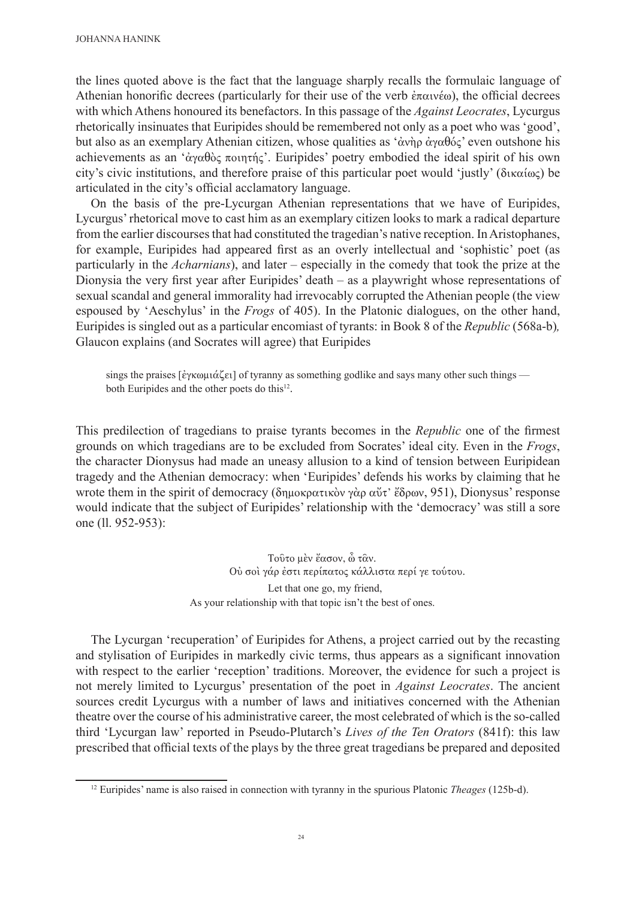the lines quoted above is the fact that the language sharply recalls the formulaic language of Athenian honorific decrees (particularly for their use of the verb  $\dot{\epsilon} \pi \alpha \nu \dot{\epsilon} \omega$ ), the official decrees with which Athens honoured its benefactors. In this passage of the *Against Leocrates*, Lycurgus rhetorically insinuates that Euripides should be remembered not only as a poet who was 'good', but also as an exemplary Athenian citizen, whose qualities as 'ἀνὴρ ἀγαθός' even outshone his achievements as an 'ἀγαθὸς ποιητής'. Euripides' poetry embodied the ideal spirit of his own city's civic institutions, and therefore praise of this particular poet would 'justly' (δικαίως) be articulated in the city's official acclamatory language.

On the basis of the pre-Lycurgan Athenian representations that we have of Euripides, Lycurgus' rhetorical move to cast him as an exemplary citizen looks to mark a radical departure from the earlier discourses that had constituted the tragedian's native reception. In Aristophanes, for example, Euripides had appeared first as an overly intellectual and 'sophistic' poet (as particularly in the *Acharnians*), and later – especially in the comedy that took the prize at the Dionysia the very first year after Euripides' death – as a playwright whose representations of sexual scandal and general immorality had irrevocably corrupted the Athenian people (the view espoused by 'Aeschylus' in the *Frogs* of 405). In the Platonic dialogues, on the other hand, Euripides is singled out as a particular encomiast of tyrants: in Book 8 of the *Republic* (568a-b)*,* Glaucon explains (and Socrates will agree) that Euripides

sings the praises [ἐγκωμιάζει] of tyranny as something godlike and says many other such things both Euripides and the other poets do this<sup>12</sup>.

This predilection of tragedians to praise tyrants becomes in the *Republic* one of the firmest grounds on which tragedians are to be excluded from Socrates' ideal city. Even in the *Frogs*, the character Dionysus had made an uneasy allusion to a kind of tension between Euripidean tragedy and the Athenian democracy: when 'Euripides' defends his works by claiming that he wrote them in the spirit of democracy (δημοκρατικὸν γὰρ αὖτ' ἔδρων, 951), Dionysus' response would indicate that the subject of Euripides' relationship with the 'democracy' was still a sore one (ll. 952-953):

> Τοῦτο μὲν ἔασον, ὦ τᾶν. Οὐ σοὶ γάρ ἐστι περίπατος κάλλιστα περί γε τούτου. Let that one go, my friend, As your relationship with that topic isn't the best of ones.

The Lycurgan 'recuperation' of Euripides for Athens, a project carried out by the recasting and stylisation of Euripides in markedly civic terms, thus appears as a significant innovation with respect to the earlier 'reception' traditions. Moreover, the evidence for such a project is not merely limited to Lycurgus' presentation of the poet in *Against Leocrates*. The ancient sources credit Lycurgus with a number of laws and initiatives concerned with the Athenian theatre over the course of his administrative career, the most celebrated of which is the so-called third 'Lycurgan law' reported in Pseudo-Plutarch's *Lives of the Ten Orators* (841f): this law prescribed that official texts of the plays by the three great tragedians be prepared and deposited

<sup>12</sup> Euripides' name is also raised in connection with tyranny in the spurious Platonic *Theages* (125b-d).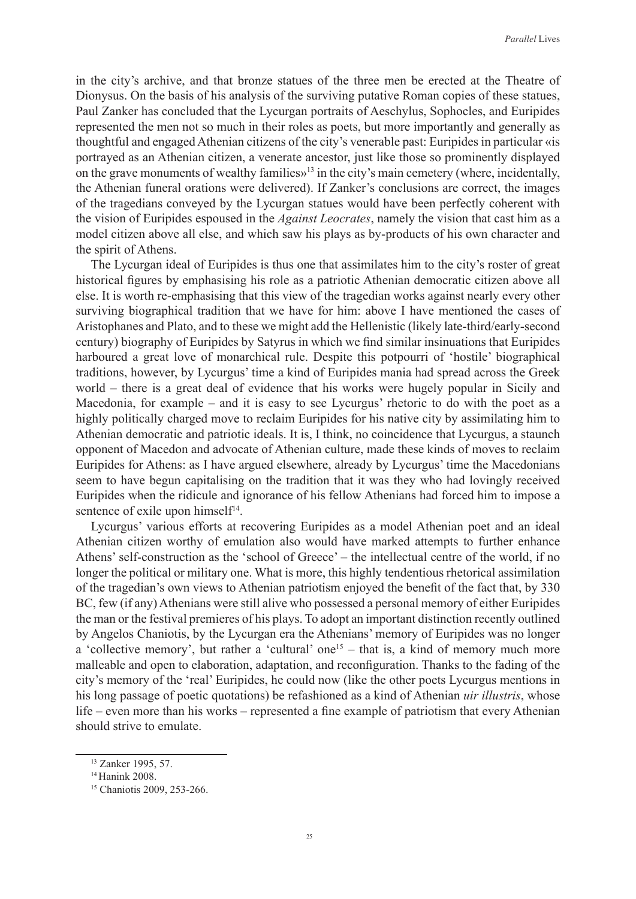in the city's archive, and that bronze statues of the three men be erected at the Theatre of Dionysus. On the basis of his analysis of the surviving putative Roman copies of these statues, Paul Zanker has concluded that the Lycurgan portraits of Aeschylus, Sophocles, and Euripides represented the men not so much in their roles as poets, but more importantly and generally as thoughtful and engaged Athenian citizens of the city's venerable past: Euripides in particular «is portrayed as an Athenian citizen, a venerate ancestor, just like those so prominently displayed on the grave monuments of wealthy families»13 in the city's main cemetery (where, incidentally, the Athenian funeral orations were delivered). If Zanker's conclusions are correct, the images of the tragedians conveyed by the Lycurgan statues would have been perfectly coherent with the vision of Euripides espoused in the *Against Leocrates*, namely the vision that cast him as a model citizen above all else, and which saw his plays as by-products of his own character and the spirit of Athens.

The Lycurgan ideal of Euripides is thus one that assimilates him to the city's roster of great historical figures by emphasising his role as a patriotic Athenian democratic citizen above all else. It is worth re-emphasising that this view of the tragedian works against nearly every other surviving biographical tradition that we have for him: above I have mentioned the cases of Aristophanes and Plato, and to these we might add the Hellenistic (likely late-third/early-second century) biography of Euripides by Satyrus in which we find similar insinuations that Euripides harboured a great love of monarchical rule. Despite this potpourri of 'hostile' biographical traditions, however, by Lycurgus' time a kind of Euripides mania had spread across the Greek world – there is a great deal of evidence that his works were hugely popular in Sicily and Macedonia, for example – and it is easy to see Lycurgus' rhetoric to do with the poet as a highly politically charged move to reclaim Euripides for his native city by assimilating him to Athenian democratic and patriotic ideals. It is, I think, no coincidence that Lycurgus, a staunch opponent of Macedon and advocate of Athenian culture, made these kinds of moves to reclaim Euripides for Athens: as I have argued elsewhere, already by Lycurgus' time the Macedonians seem to have begun capitalising on the tradition that it was they who had lovingly received Euripides when the ridicule and ignorance of his fellow Athenians had forced him to impose a sentence of exile upon himself<sup>14</sup>.

Lycurgus' various efforts at recovering Euripides as a model Athenian poet and an ideal Athenian citizen worthy of emulation also would have marked attempts to further enhance Athens' self-construction as the 'school of Greece' – the intellectual centre of the world, if no longer the political or military one. What is more, this highly tendentious rhetorical assimilation of the tragedian's own views to Athenian patriotism enjoyed the benefit of the fact that, by 330 BC, few (if any) Athenians were still alive who possessed a personal memory of either Euripides the man or the festival premieres of his plays. To adopt an important distinction recently outlined by Angelos Chaniotis, by the Lycurgan era the Athenians' memory of Euripides was no longer a 'collective memory', but rather a 'cultural' one<sup>15</sup> – that is, a kind of memory much more malleable and open to elaboration, adaptation, and reconfiguration. Thanks to the fading of the city's memory of the 'real' Euripides, he could now (like the other poets Lycurgus mentions in his long passage of poetic quotations) be refashioned as a kind of Athenian *uir illustris*, whose life – even more than his works – represented a fine example of patriotism that every Athenian should strive to emulate.

<sup>13</sup> Zanker 1995, 57.

<sup>&</sup>lt;sup>14</sup> Hanink 2008.

<sup>&</sup>lt;sup>15</sup> Chaniotis 2009, 253-266.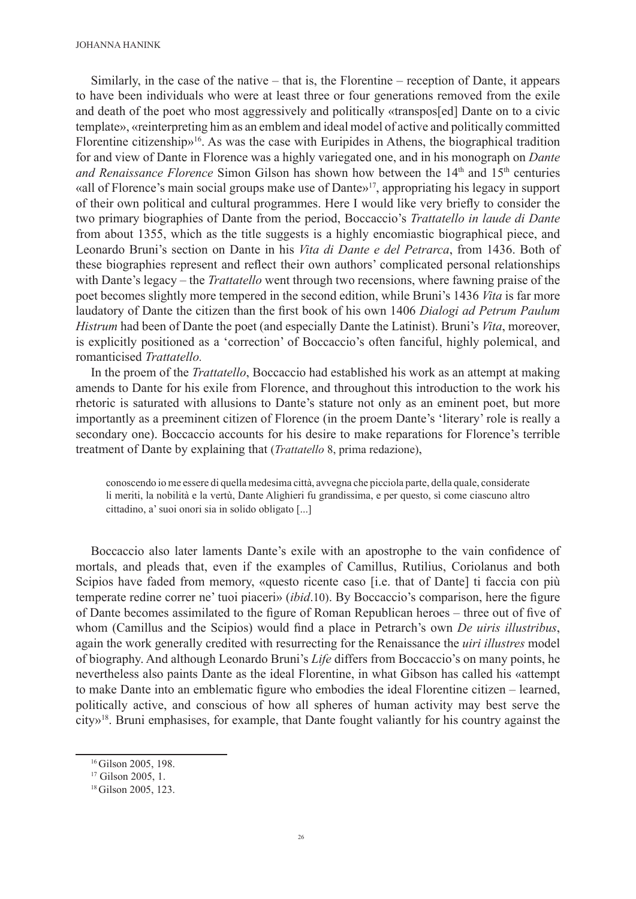Similarly, in the case of the native – that is, the Florentine – reception of Dante, it appears to have been individuals who were at least three or four generations removed from the exile and death of the poet who most aggressively and politically «transpos[ed] Dante on to a civic template», «reinterpreting him as an emblem and ideal model of active and politically committed Florentine citizenship»16. As was the case with Euripides in Athens, the biographical tradition for and view of Dante in Florence was a highly variegated one, and in his monograph on *Dante and Renaissance Florence* Simon Gilson has shown how between the 14<sup>th</sup> and 15<sup>th</sup> centuries «all of Florence's main social groups make use of Dante»17, appropriating his legacy in support of their own political and cultural programmes. Here I would like very briefly to consider the two primary biographies of Dante from the period, Boccaccio's *Trattatello in laude di Dante* from about 1355, which as the title suggests is a highly encomiastic biographical piece, and Leonardo Bruni's section on Dante in his *Vita di Dante e del Petrarca*, from 1436. Both of these biographies represent and reflect their own authors' complicated personal relationships with Dante's legacy – the *Trattatello* went through two recensions, where fawning praise of the poet becomes slightly more tempered in the second edition, while Bruni's 1436 *Vita* is far more laudatory of Dante the citizen than the first book of his own 1406 *Dialogi ad Petrum Paulum Histrum* had been of Dante the poet (and especially Dante the Latinist). Bruni's *Vita*, moreover, is explicitly positioned as a 'correction' of Boccaccio's often fanciful, highly polemical, and romanticised *Trattatello.*

In the proem of the *Trattatello*, Boccaccio had established his work as an attempt at making amends to Dante for his exile from Florence, and throughout this introduction to the work his rhetoric is saturated with allusions to Dante's stature not only as an eminent poet, but more importantly as a preeminent citizen of Florence (in the proem Dante's 'literary' role is really a secondary one). Boccaccio accounts for his desire to make reparations for Florence's terrible treatment of Dante by explaining that (*Trattatello* 8, prima redazione),

conoscendo io me essere di quella medesima città, avvegna che picciola parte, della quale, considerate li meriti, la nobilità e la vertù, Dante Alighieri fu grandissima, e per questo, sì come ciascuno altro cittadino, a' suoi onori sia in solido obligato [...]

Boccaccio also later laments Dante's exile with an apostrophe to the vain confidence of mortals, and pleads that, even if the examples of Camillus, Rutilius, Coriolanus and both Scipios have faded from memory, «questo ricente caso [i.e. that of Dante] ti faccia con più temperate redine correr ne' tuoi piaceri» (*ibid*.10). By Boccaccio's comparison, here the figure of Dante becomes assimilated to the figure of Roman Republican heroes – three out of five of whom (Camillus and the Scipios) would find a place in Petrarch's own *De uiris illustribus*, again the work generally credited with resurrecting for the Renaissance the *uiri illustres* model of biography. And although Leonardo Bruni's *Life* differs from Boccaccio's on many points, he nevertheless also paints Dante as the ideal Florentine, in what Gibson has called his «attempt to make Dante into an emblematic figure who embodies the ideal Florentine citizen – learned, politically active, and conscious of how all spheres of human activity may best serve the city»<sup>18</sup>. Bruni emphasises, for example, that Dante fought valiantly for his country against the

<sup>&</sup>lt;sup>16</sup>Gilson 2005, 198.

<sup>&</sup>lt;sup>17</sup> Gilson 2005, 1.

<sup>&</sup>lt;sup>18</sup>Gilson 2005, 123.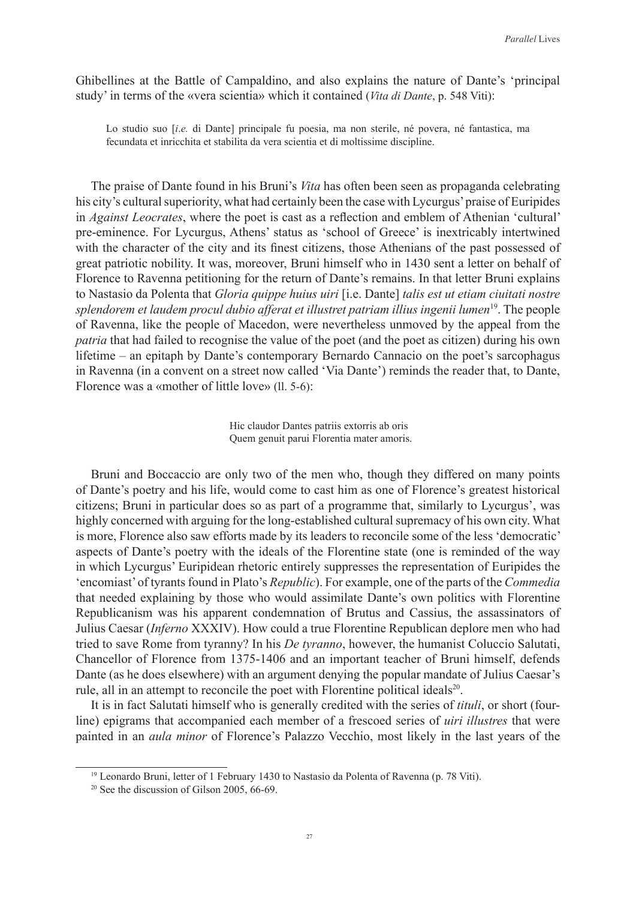Ghibellines at the Battle of Campaldino, and also explains the nature of Dante's 'principal study' in terms of the «vera scientia» which it contained (*Vita di Dante*, p. 548 Viti):

Lo studio suo [*i*.*e.* di Dante] principale fu poesia, ma non sterile, né povera, né fantastica, ma fecundata et inricchita et stabilita da vera scientia et di moltissime discipline.

The praise of Dante found in his Bruni's *Vita* has often been seen as propaganda celebrating his city's cultural superiority, what had certainly been the case with Lycurgus' praise of Euripides in *Against Leocrates*, where the poet is cast as a reflection and emblem of Athenian 'cultural' pre-eminence. For Lycurgus, Athens' status as 'school of Greece' is inextricably intertwined with the character of the city and its finest citizens, those Athenians of the past possessed of great patriotic nobility. It was, moreover, Bruni himself who in 1430 sent a letter on behalf of Florence to Ravenna petitioning for the return of Dante's remains. In that letter Bruni explains to Nastasio da Polenta that *Gloria quippe huius uiri* [i.e. Dante] *talis est ut etiam ciuitati nostre splendorem et laudem procul dubio afferat et illustret patriam illius ingenii lumen*19. The people of Ravenna, like the people of Macedon, were nevertheless unmoved by the appeal from the *patria* that had failed to recognise the value of the poet (and the poet as citizen) during his own lifetime – an epitaph by Dante's contemporary Bernardo Cannacio on the poet's sarcophagus in Ravenna (in a convent on a street now called 'Via Dante') reminds the reader that, to Dante, Florence was a «mother of little love» (ll. 5-6):

> Hic claudor Dantes patriis extorris ab oris Quem genuit parui Florentia mater amoris.

Bruni and Boccaccio are only two of the men who, though they differed on many points of Dante's poetry and his life, would come to cast him as one of Florence's greatest historical citizens; Bruni in particular does so as part of a programme that, similarly to Lycurgus', was highly concerned with arguing for the long-established cultural supremacy of his own city. What is more, Florence also saw efforts made by its leaders to reconcile some of the less 'democratic' aspects of Dante's poetry with the ideals of the Florentine state (one is reminded of the way in which Lycurgus' Euripidean rhetoric entirely suppresses the representation of Euripides the 'encomiast' of tyrants found in Plato's *Republic*). For example, one of the parts of the *Commedia* that needed explaining by those who would assimilate Dante's own politics with Florentine Republicanism was his apparent condemnation of Brutus and Cassius, the assassinators of Julius Caesar (*Inferno* XXXIV). How could a true Florentine Republican deplore men who had tried to save Rome from tyranny? In his *De tyranno*, however, the humanist Coluccio Salutati, Chancellor of Florence from 1375-1406 and an important teacher of Bruni himself, defends Dante (as he does elsewhere) with an argument denying the popular mandate of Julius Caesar's rule, all in an attempt to reconcile the poet with Florentine political ideals $2^0$ .

It is in fact Salutati himself who is generally credited with the series of *tituli*, or short (fourline) epigrams that accompanied each member of a frescoed series of *uiri illustres* that were painted in an *aula minor* of Florence's Palazzo Vecchio, most likely in the last years of the

<sup>&</sup>lt;sup>19</sup> Leonardo Bruni, letter of 1 February 1430 to Nastasio da Polenta of Ravenna (p. 78 Viti).

 $20$  See the discussion of Gilson 2005, 66-69.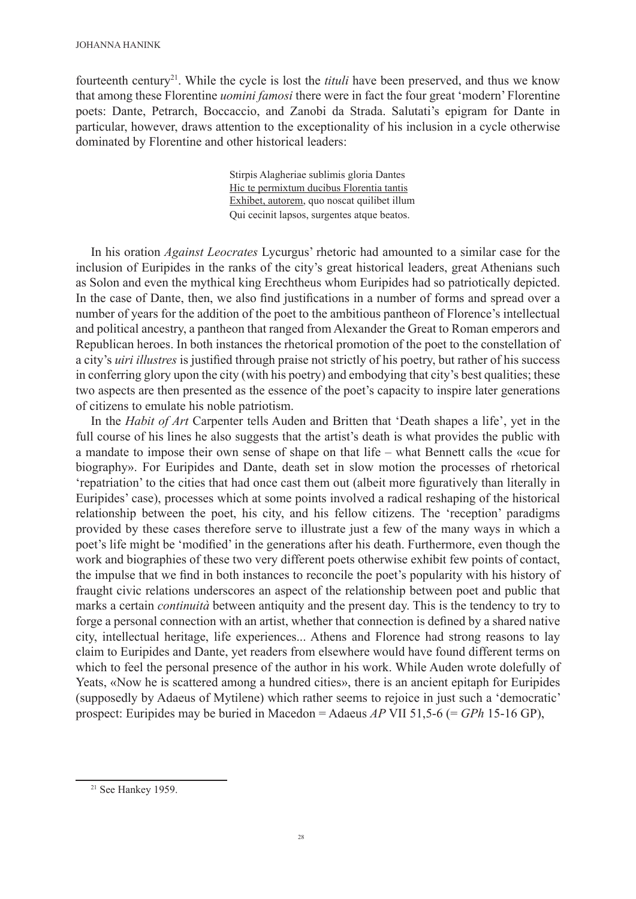fourteenth century21. While the cycle is lost the *tituli* have been preserved, and thus we know that among these Florentine *uomini famosi* there were in fact the four great 'modern' Florentine poets: Dante, Petrarch, Boccaccio, and Zanobi da Strada. Salutati's epigram for Dante in particular, however, draws attention to the exceptionality of his inclusion in a cycle otherwise dominated by Florentine and other historical leaders:

> Stirpis Alagheriae sublimis gloria Dantes Hic te permixtum ducibus Florentia tantis Exhibet, autorem, quo noscat quilibet illum Qui cecinit lapsos, surgentes atque beatos.

In his oration *Against Leocrates* Lycurgus' rhetoric had amounted to a similar case for the inclusion of Euripides in the ranks of the city's great historical leaders, great Athenians such as Solon and even the mythical king Erechtheus whom Euripides had so patriotically depicted. In the case of Dante, then, we also find justifications in a number of forms and spread over a number of years for the addition of the poet to the ambitious pantheon of Florence's intellectual and political ancestry, a pantheon that ranged from Alexander the Great to Roman emperors and Republican heroes. In both instances the rhetorical promotion of the poet to the constellation of a city's *uiri illustres* is justified through praise not strictly of his poetry, but rather of his success in conferring glory upon the city (with his poetry) and embodying that city's best qualities; these two aspects are then presented as the essence of the poet's capacity to inspire later generations of citizens to emulate his noble patriotism.

In the *Habit of Art* Carpenter tells Auden and Britten that 'Death shapes a life', yet in the full course of his lines he also suggests that the artist's death is what provides the public with a mandate to impose their own sense of shape on that life – what Bennett calls the «cue for biography». For Euripides and Dante, death set in slow motion the processes of rhetorical 'repatriation' to the cities that had once cast them out (albeit more figuratively than literally in Euripides' case), processes which at some points involved a radical reshaping of the historical relationship between the poet, his city, and his fellow citizens. The 'reception' paradigms provided by these cases therefore serve to illustrate just a few of the many ways in which a poet's life might be 'modified' in the generations after his death. Furthermore, even though the work and biographies of these two very different poets otherwise exhibit few points of contact, the impulse that we find in both instances to reconcile the poet's popularity with his history of fraught civic relations underscores an aspect of the relationship between poet and public that marks a certain *continuità* between antiquity and the present day. This is the tendency to try to forge a personal connection with an artist, whether that connection is defined by a shared native city, intellectual heritage, life experiences... Athens and Florence had strong reasons to lay claim to Euripides and Dante, yet readers from elsewhere would have found different terms on which to feel the personal presence of the author in his work. While Auden wrote dolefully of Yeats, «Now he is scattered among a hundred cities», there is an ancient epitaph for Euripides (supposedly by Adaeus of Mytilene) which rather seems to rejoice in just such a 'democratic' prospect: Euripides may be buried in Macedon = Adaeus *AP* VII 51,5-6 (= *GPh* 15-16 GP),

<sup>21</sup> See Hankey 1959.